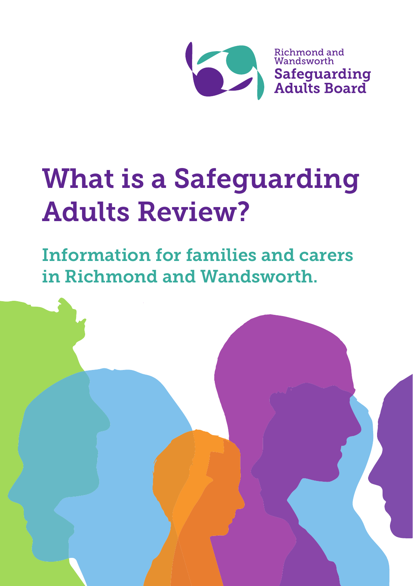

# What is a Safeguarding Adults Review?

Information for families and carers in Richmond and Wandsworth.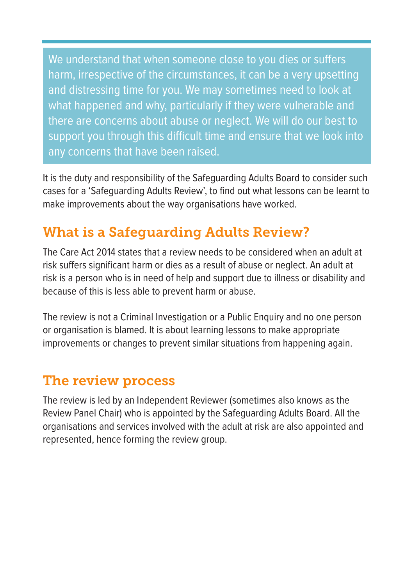We understand that when someone close to you dies or suffers harm, irrespective of the circumstances, it can be a very upsetting and distressing time for you. We may sometimes need to look at what happened and why, particularly if they were vulnerable and there are concerns about abuse or neglect. We will do our best to support you through this difficult time and ensure that we look into any concerns that have been raised.

It is the duty and responsibility of the Safeguarding Adults Board to consider such cases for a 'Safeguarding Adults Review', to find out what lessons can be learnt to make improvements about the way organisations have worked.

# What is a Safeguarding Adults Review?

The Care Act 2014 states that a review needs to be considered when an adult at risk suffers significant harm or dies as a result of abuse or neglect. An adult at risk is a person who is in need of help and support due to illness or disability and because of this is less able to prevent harm or abuse.

The review is not a Criminal Investigation or a Public Enquiry and no one person or organisation is blamed. It is about learning lessons to make appropriate improvements or changes to prevent similar situations from happening again.

#### The review process

The review is led by an Independent Reviewer (sometimes also knows as the Review Panel Chair) who is appointed by the Safeguarding Adults Board. All the organisations and services involved with the adult at risk are also appointed and represented, hence forming the review group.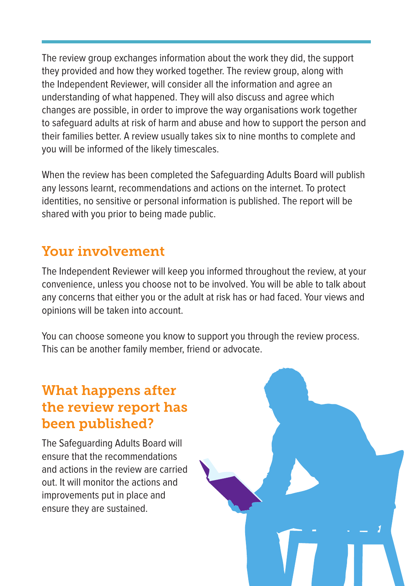The review group exchanges information about the work they did, the support they provided and how they worked together. The review group, along with the Independent Reviewer, will consider all the information and agree an understanding of what happened. They will also discuss and agree which changes are possible, in order to improve the way organisations work together to safeguard adults at risk of harm and abuse and how to support the person and their families better. A review usually takes six to nine months to complete and you will be informed of the likely timescales.

When the review has been completed the Safeguarding Adults Board will publish any lessons learnt, recommendations and actions on the internet. To protect identities, no sensitive or personal information is published. The report will be shared with you prior to being made public.

## Your involvement

The Independent Reviewer will keep you informed throughout the review, at your convenience, unless you choose not to be involved. You will be able to talk about any concerns that either you or the adult at risk has or had faced. Your views and opinions will be taken into account.

You can choose someone you know to support you through the review process. This can be another family member, friend or advocate.

### What happens after the review report has been published?

The Safeguarding Adults Board will ensure that the recommendations and actions in the review are carried out. It will monitor the actions and improvements put in place and ensure they are sustained.